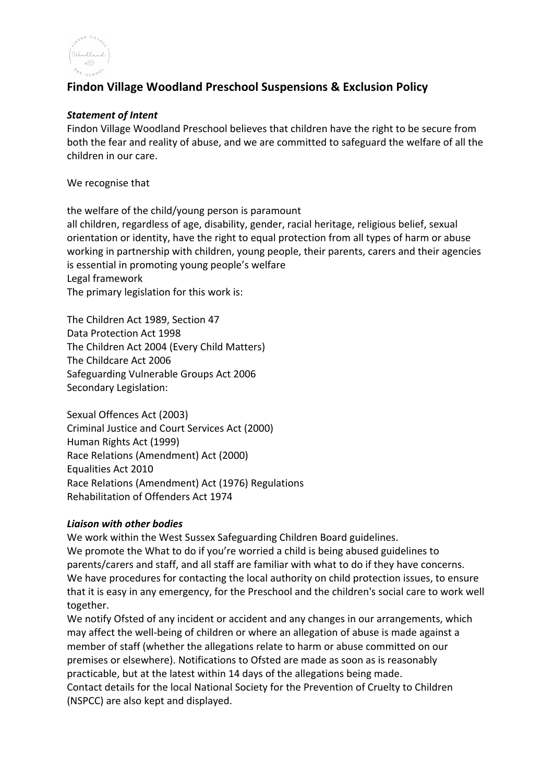

# **Findon Village Woodland Preschool Suspensions & Exclusion Policy**

#### *Statement of Intent*

Findon Village Woodland Preschool believes that children have the right to be secure from both the fear and reality of abuse, and we are committed to safeguard the welfare of all the children in our care.

We recognise that

the welfare of the child/young person is paramount all children, regardless of age, disability, gender, racial heritage, religious belief, sexual orientation or identity, have the right to equal protection from all types of harm or abuse working in partnership with children, young people, their parents, carers and their agencies is essential in promoting young people's welfare Legal framework The primary legislation for this work is:

The Children Act 1989, Section 47 Data Protection Act 1998 The Children Act 2004 (Every Child Matters) The Childcare Act 2006 Safeguarding Vulnerable Groups Act 2006 Secondary Legislation:

Sexual Offences Act (2003) Criminal Justice and Court Services Act (2000) Human Rights Act (1999) Race Relations (Amendment) Act (2000) Equalities Act 2010 Race Relations (Amendment) Act (1976) Regulations Rehabilitation of Offenders Act 1974

#### *Liaison with other bodies*

We work within the West Sussex Safeguarding Children Board guidelines. We promote the What to do if you're worried a child is being abused guidelines to parents/carers and staff, and all staff are familiar with what to do if they have concerns. We have procedures for contacting the local authority on child protection issues, to ensure that it is easy in any emergency, for the Preschool and the children's social care to work well together.

We notify Ofsted of any incident or accident and any changes in our arrangements, which may affect the well-being of children or where an allegation of abuse is made against a member of staff (whether the allegations relate to harm or abuse committed on our premises or elsewhere). Notifications to Ofsted are made as soon as is reasonably practicable, but at the latest within 14 days of the allegations being made. Contact details for the local National Society for the Prevention of Cruelty to Children (NSPCC) are also kept and displayed.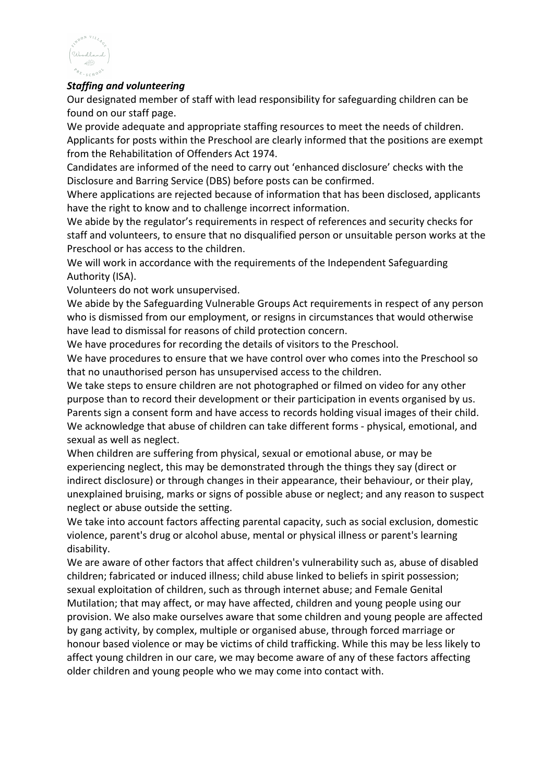

### *Staffing and volunteering*

Our designated member of staff with lead responsibility for safeguarding children can be found on our staff page.

We provide adequate and appropriate staffing resources to meet the needs of children. Applicants for posts within the Preschool are clearly informed that the positions are exempt from the Rehabilitation of Offenders Act 1974.

Candidates are informed of the need to carry out 'enhanced disclosure' checks with the Disclosure and Barring Service (DBS) before posts can be confirmed.

Where applications are rejected because of information that has been disclosed, applicants have the right to know and to challenge incorrect information.

We abide by the regulator's requirements in respect of references and security checks for staff and volunteers, to ensure that no disqualified person or unsuitable person works at the Preschool or has access to the children.

We will work in accordance with the requirements of the Independent Safeguarding Authority (ISA).

Volunteers do not work unsupervised.

We abide by the Safeguarding Vulnerable Groups Act requirements in respect of any person who is dismissed from our employment, or resigns in circumstances that would otherwise have lead to dismissal for reasons of child protection concern.

We have procedures for recording the details of visitors to the Preschool.

We have procedures to ensure that we have control over who comes into the Preschool so that no unauthorised person has unsupervised access to the children.

We take steps to ensure children are not photographed or filmed on video for any other purpose than to record their development or their participation in events organised by us. Parents sign a consent form and have access to records holding visual images of their child. We acknowledge that abuse of children can take different forms - physical, emotional, and sexual as well as neglect.

When children are suffering from physical, sexual or emotional abuse, or may be experiencing neglect, this may be demonstrated through the things they say (direct or indirect disclosure) or through changes in their appearance, their behaviour, or their play, unexplained bruising, marks or signs of possible abuse or neglect; and any reason to suspect neglect or abuse outside the setting.

We take into account factors affecting parental capacity, such as social exclusion, domestic violence, parent's drug or alcohol abuse, mental or physical illness or parent's learning disability.

We are aware of other factors that affect children's vulnerability such as, abuse of disabled children; fabricated or induced illness; child abuse linked to beliefs in spirit possession; sexual exploitation of children, such as through internet abuse; and Female Genital Mutilation; that may affect, or may have affected, children and young people using our provision. We also make ourselves aware that some children and young people are affected by gang activity, by complex, multiple or organised abuse, through forced marriage or honour based violence or may be victims of child trafficking. While this may be less likely to affect young children in our care, we may become aware of any of these factors affecting older children and young people who we may come into contact with.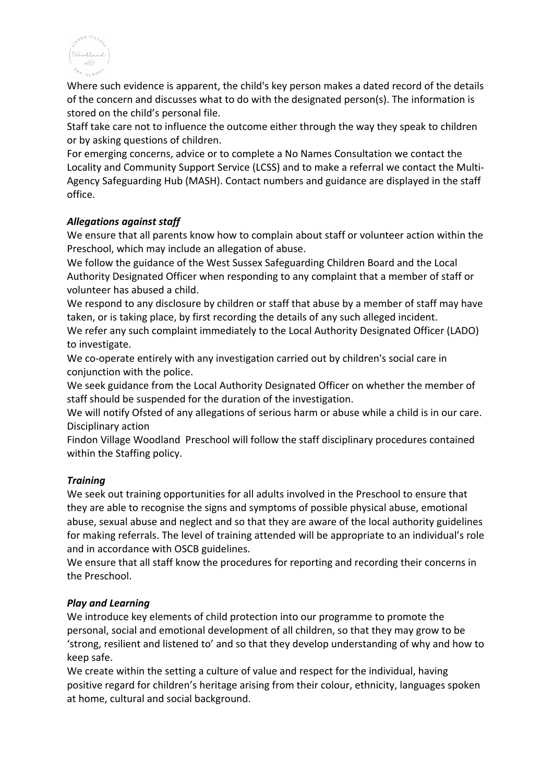

Where such evidence is apparent, the child's key person makes a dated record of the details of the concern and discusses what to do with the designated person(s). The information is stored on the child's personal file.

Staff take care not to influence the outcome either through the way they speak to children or by asking questions of children.

For emerging concerns, advice or to complete a No Names Consultation we contact the Locality and Community Support Service (LCSS) and to make a referral we contact the Multi-Agency Safeguarding Hub (MASH). Contact numbers and guidance are displayed in the staff office.

# *Allegations against staff*

We ensure that all parents know how to complain about staff or volunteer action within the Preschool, which may include an allegation of abuse.

We follow the guidance of the West Sussex Safeguarding Children Board and the Local Authority Designated Officer when responding to any complaint that a member of staff or volunteer has abused a child.

We respond to any disclosure by children or staff that abuse by a member of staff may have taken, or is taking place, by first recording the details of any such alleged incident.

We refer any such complaint immediately to the Local Authority Designated Officer (LADO) to investigate.

We co-operate entirely with any investigation carried out by children's social care in conjunction with the police.

We seek guidance from the Local Authority Designated Officer on whether the member of staff should be suspended for the duration of the investigation.

We will notify Ofsted of any allegations of serious harm or abuse while a child is in our care. Disciplinary action

Findon Village Woodland Preschool will follow the staff disciplinary procedures contained within the Staffing policy.

# *Training*

We seek out training opportunities for all adults involved in the Preschool to ensure that they are able to recognise the signs and symptoms of possible physical abuse, emotional abuse, sexual abuse and neglect and so that they are aware of the local authority guidelines for making referrals. The level of training attended will be appropriate to an individual's role and in accordance with OSCB guidelines.

We ensure that all staff know the procedures for reporting and recording their concerns in the Preschool.

# *Play and Learning*

We introduce key elements of child protection into our programme to promote the personal, social and emotional development of all children, so that they may grow to be 'strong, resilient and listened to' and so that they develop understanding of why and how to keep safe.

We create within the setting a culture of value and respect for the individual, having positive regard for children's heritage arising from their colour, ethnicity, languages spoken at home, cultural and social background.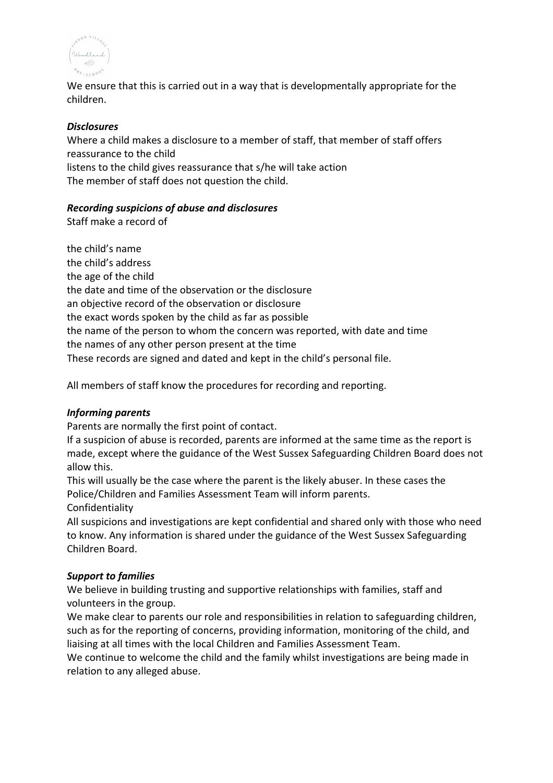

We ensure that this is carried out in a way that is developmentally appropriate for the children.

# *Disclosures*

Where a child makes a disclosure to a member of staff, that member of staff offers reassurance to the child listens to the child gives reassurance that s/he will take action The member of staff does not question the child.

### *Recording suspicions of abuse and disclosures*

Staff make a record of

the child's name the child's address the age of the child the date and time of the observation or the disclosure an objective record of the observation or disclosure the exact words spoken by the child as far as possible the name of the person to whom the concern was reported, with date and time the names of any other person present at the time These records are signed and dated and kept in the child's personal file.

All members of staff know the procedures for recording and reporting.

#### *Informing parents*

Parents are normally the first point of contact.

If a suspicion of abuse is recorded, parents are informed at the same time as the report is made, except where the guidance of the West Sussex Safeguarding Children Board does not allow this.

This will usually be the case where the parent is the likely abuser. In these cases the Police/Children and Families Assessment Team will inform parents.

Confidentiality

All suspicions and investigations are kept confidential and shared only with those who need to know. Any information is shared under the guidance of the West Sussex Safeguarding Children Board.

#### *Support to families*

We believe in building trusting and supportive relationships with families, staff and volunteers in the group.

We make clear to parents our role and responsibilities in relation to safeguarding children, such as for the reporting of concerns, providing information, monitoring of the child, and liaising at all times with the local Children and Families Assessment Team.

We continue to welcome the child and the family whilst investigations are being made in relation to any alleged abuse.